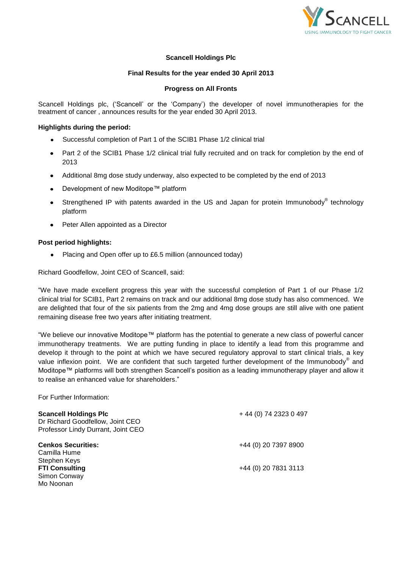

# **Scancell Holdings Plc**

## **Final Results for the year ended 30 April 2013**

## **Progress on All Fronts**

Scancell Holdings plc, ("Scancell" or the "Company") the developer of novel immunotherapies for the treatment of cancer , announces results for the year ended 30 April 2013.

### **Highlights during the period:**

- Successful completion of Part 1 of the SCIB1 Phase 1/2 clinical trial  $\bullet$
- Part 2 of the SCIB1 Phase 1/2 clinical trial fully recruited and on track for completion by the end of  $\bullet$ 2013
- Additional 8mg dose study underway, also expected to be completed by the end of 2013  $\bullet$
- Development of new Moditope™ platform  $\bullet$
- Strengthened IP with patents awarded in the US and Japan for protein Immunobody® technology platform
- Peter Allen appointed as a Director

## **Post period highlights:**

Placing and Open offer up to £6.5 million (announced today)  $\bullet$ 

Richard Goodfellow, Joint CEO of Scancell, said:

"We have made excellent progress this year with the successful completion of Part 1 of our Phase 1/2 clinical trial for SCIB1, Part 2 remains on track and our additional 8mg dose study has also commenced. We are delighted that four of the six patients from the 2mg and 4mg dose groups are still alive with one patient remaining disease free two years after initiating treatment.

"We believe our innovative Moditope™ platform has the potential to generate a new class of powerful cancer immunotherapy treatments. We are putting funding in place to identify a lead from this programme and develop it through to the point at which we have secured regulatory approval to start clinical trials, a key value inflexion point. We are confident that such targeted further development of the Immunobody® and Moditope™ platforms will both strengthen Scancell"s position as a leading immunotherapy player and allow it to realise an enhanced value for shareholders."

For Further Information:

| <b>Scancell Holdings Plc</b><br>Dr Richard Goodfellow, Joint CEO<br>Professor Lindy Durrant, Joint CEO | +44 (0) 74 2323 0 497 |
|--------------------------------------------------------------------------------------------------------|-----------------------|
| <b>Cenkos Securities:</b><br>Camilla Hume<br>Stephen Keys                                              | +44 (0) 20 7397 8900  |
| <b>FTI Consulting</b><br>Simon Conway<br>Mo Noonan                                                     | +44 (0) 20 7831 3113  |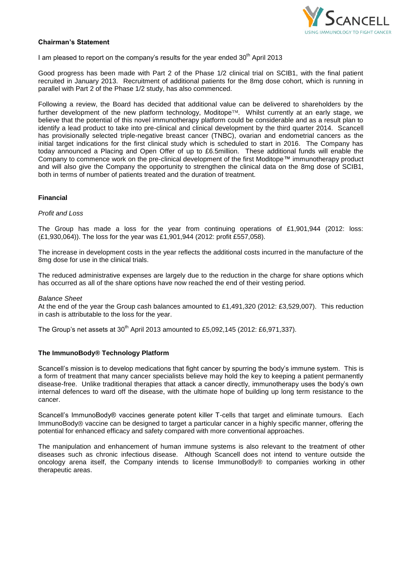

### **Chairman's Statement**

I am pleased to report on the company's results for the year ended  $30<sup>th</sup>$  April 2013

Good progress has been made with Part 2 of the Phase 1/2 clinical trial on SCIB1, with the final patient recruited in January 2013. Recruitment of additional patients for the 8mg dose cohort, which is running in parallel with Part 2 of the Phase 1/2 study, has also commenced.

Following a review, the Board has decided that additional value can be delivered to shareholders by the further development of the new platform technology, Moditope<sup> $TM$ </sup>. Whilst currently at an early stage, we believe that the potential of this novel immunotherapy platform could be considerable and as a result plan to identify a lead product to take into pre-clinical and clinical development by the third quarter 2014. Scancell has provisionally selected triple-negative breast cancer (TNBC), ovarian and endometrial cancers as the initial target indications for the first clinical study which is scheduled to start in 2016. The Company has today announced a Placing and Open Offer of up to £6.5million. These additional funds will enable the Company to commence work on the pre-clinical development of the first Moditope™ immunotherapy product and will also give the Company the opportunity to strengthen the clinical data on the 8mg dose of SCIB1, both in terms of number of patients treated and the duration of treatment.

### **Financial**

#### *Profit and Loss*

The Group has made a loss for the year from continuing operations of £1,901,944 (2012: loss: (£1,930,064)). The loss for the year was £1,901,944 (2012: profit £557,058).

The increase in development costs in the year reflects the additional costs incurred in the manufacture of the 8mg dose for use in the clinical trials.

The reduced administrative expenses are largely due to the reduction in the charge for share options which has occurred as all of the share options have now reached the end of their vesting period.

#### *Balance Sheet*

At the end of the year the Group cash balances amounted to £1,491,320 (2012: £3,529,007). This reduction in cash is attributable to the loss for the year.

The Group's net assets at  $30^{th}$  April 2013 amounted to £5,092,145 (2012: £6,971,337).

### **The ImmunoBody® Technology Platform**

Scancell"s mission is to develop medications that fight cancer by spurring the body"s immune system. This is a form of treatment that many cancer specialists believe may hold the key to keeping a patient permanently disease-free. Unlike traditional therapies that attack a cancer directly, immunotherapy uses the body"s own internal defences to ward off the disease, with the ultimate hope of building up long term resistance to the cancer.

Scancell"s ImmunoBody® vaccines generate potent killer T-cells that target and eliminate tumours. Each ImmunoBody<sup>®</sup> vaccine can be designed to target a particular cancer in a highly specific manner, offering the potential for enhanced efficacy and safety compared with more conventional approaches.

The manipulation and enhancement of human immune systems is also relevant to the treatment of other diseases such as chronic infectious disease. Although Scancell does not intend to venture outside the oncology arena itself, the Company intends to license ImmunoBody® to companies working in other therapeutic areas.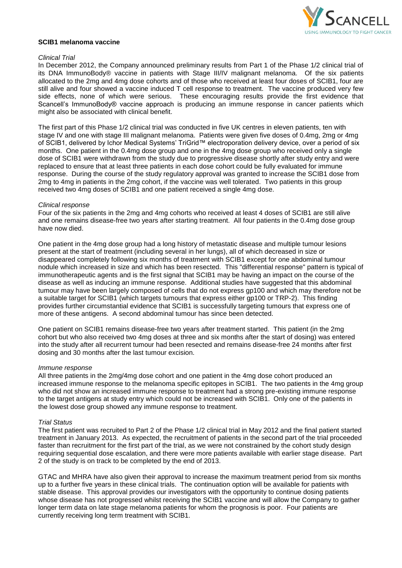

#### **SCIB1 melanoma vaccine**

#### *Clinical Trial*

In December 2012, the Company announced preliminary results from Part 1 of the Phase 1/2 clinical trial of its DNA ImmunoBody® vaccine in patients with Stage III/IV malignant melanoma. Of the six patients allocated to the 2mg and 4mg dose cohorts and of those who received at least four doses of SCIB1, four are still alive and four showed a vaccine induced T cell response to treatment. The vaccine produced very few side effects, none of which were serious. These encouraging results provide the first evidence that Scancell"s ImmunoBody® vaccine approach is producing an immune response in cancer patients which might also be associated with clinical benefit.

The first part of this Phase 1/2 clinical trial was conducted in five UK centres in eleven patients, ten with stage IV and one with stage III malignant melanoma. Patients were given five doses of 0.4mg, 2mg or 4mg of SCIB1, delivered by Ichor Medical Systems" TriGrid™ electroporation delivery device, over a period of six months. One patient in the 0.4mg dose group and one in the 4mg dose group who received only a single dose of SCIB1 were withdrawn from the study due to progressive disease shortly after study entry and were replaced to ensure that at least three patients in each dose cohort could be fully evaluated for immune response. During the course of the study regulatory approval was granted to increase the SCIB1 dose from 2mg to 4mg in patients in the 2mg cohort, if the vaccine was well tolerated. Two patients in this group received two 4mg doses of SCIB1 and one patient received a single 4mg dose.

#### *Clinical response*

Four of the six patients in the 2mg and 4mg cohorts who received at least 4 doses of SCIB1 are still alive and one remains disease-free two years after starting treatment. All four patients in the 0.4mg dose group have now died.

One patient in the 4mg dose group had a long history of metastatic disease and multiple tumour lesions present at the start of treatment (including several in her lungs), all of which decreased in size or disappeared completely following six months of treatment with SCIB1 except for one abdominal tumour nodule which increased in size and which has been resected. This "differential response" pattern is typical of immunotherapeutic agents and is the first signal that SCIB1 may be having an impact on the course of the disease as well as inducing an immune response. Additional studies have suggested that this abdominal tumour may have been largely composed of cells that do not express gp100 and which may therefore not be a suitable target for SCIB1 (which targets tumours that express either gp100 or TRP-2). This finding provides further circumstantial evidence that SCIB1 is successfully targeting tumours that express one of more of these antigens. A second abdominal tumour has since been detected.

One patient on SCIB1 remains disease-free two years after treatment started. This patient (in the 2mg cohort but who also received two 4mg doses at three and six months after the start of dosing) was entered into the study after all recurrent tumour had been resected and remains disease-free 24 months after first dosing and 30 months after the last tumour excision.

#### *Immune response*

All three patients in the 2mg/4mg dose cohort and one patient in the 4mg dose cohort produced an increased immune response to the melanoma specific epitopes in SCIB1. The two patients in the 4mg group who did not show an increased immune response to treatment had a strong pre-existing immune response to the target antigens at study entry which could not be increased with SCIB1. Only one of the patients in the lowest dose group showed any immune response to treatment.

#### *Trial Status*

The first patient was recruited to Part 2 of the Phase 1/2 clinical trial in May 2012 and the final patient started treatment in January 2013. As expected, the recruitment of patients in the second part of the trial proceeded faster than recruitment for the first part of the trial, as we were not constrained by the cohort study design requiring sequential dose escalation, and there were more patients available with earlier stage disease. Part 2 of the study is on track to be completed by the end of 2013.

GTAC and MHRA have also given their approval to increase the maximum treatment period from six months up to a further five years in these clinical trials. The continuation option will be available for patients with stable disease. This approval provides our investigators with the opportunity to continue dosing patients whose disease has not progressed whilst receiving the SCIB1 vaccine and will allow the Company to gather longer term data on late stage melanoma patients for whom the prognosis is poor. Four patients are currently receiving long term treatment with SCIB1.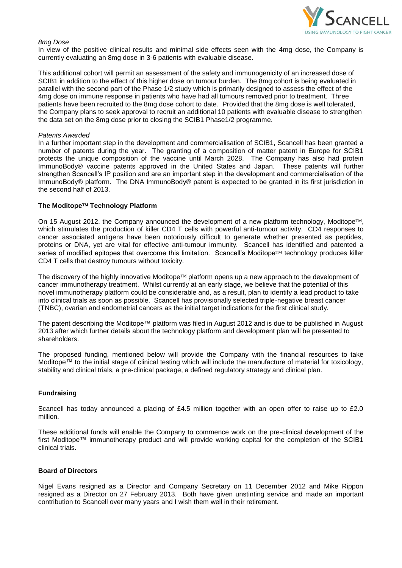

### *8mg Dose*

In view of the positive clinical results and minimal side effects seen with the 4mg dose, the Company is currently evaluating an 8mg dose in 3-6 patients with evaluable disease.

This additional cohort will permit an assessment of the safety and immunogenicity of an increased dose of SCIB1 in addition to the effect of this higher dose on tumour burden. The 8mg cohort is being evaluated in parallel with the second part of the Phase 1/2 study which is primarily designed to assess the effect of the 4mg dose on immune response in patients who have had all tumours removed prior to treatment. Three patients have been recruited to the 8mg dose cohort to date. Provided that the 8mg dose is well tolerated, the Company plans to seek approval to recruit an additional 10 patients with evaluable disease to strengthen the data set on the 8mg dose prior to closing the SCIB1 Phase1/2 programme.

#### *Patents Awarded*

In a further important step in the development and commercialisation of SCIB1, Scancell has been granted a number of patents during the year. The granting of a composition of matter patent in Europe for SCIB1 protects the unique composition of the vaccine until March 2028. The Company has also had protein ImmunoBody® vaccine patents approved in the United States and Japan. These patents will further strengthen Scancell"s IP position and are an important step in the development and commercialisation of the ImmunoBody® platform. The DNA ImmunoBody® patent is expected to be granted in its first jurisdiction in the second half of 2013.

#### **The Moditope™ Technology Platform**

On 15 August 2012, the Company announced the development of a new platform technology. Moditope<sup>TM</sup>, which stimulates the production of killer CD4 T cells with powerful anti-tumour activity. CD4 responses to cancer associated antigens have been notoriously difficult to generate whether presented as peptides, proteins or DNA, yet are vital for effective anti-tumour immunity. Scancell has identified and patented a series of modified epitopes that overcome this limitation. Scancell's Moditope™ technology produces killer CD4 T cells that destroy tumours without toxicity.

The discovery of the highly innovative Moditope<sup> $TM$ </sup> platform opens up a new approach to the development of cancer immunotherapy treatment. Whilst currently at an early stage, we believe that the potential of this novel immunotherapy platform could be considerable and, as a result, plan to identify a lead product to take into clinical trials as soon as possible. Scancell has provisionally selected triple-negative breast cancer (TNBC), ovarian and endometrial cancers as the initial target indications for the first clinical study.

The patent describing the Moditope™ platform was filed in August 2012 and is due to be published in August 2013 after which further details about the technology platform and development plan will be presented to shareholders.

The proposed funding, mentioned below will provide the Company with the financial resources to take Moditope™ to the initial stage of clinical testing which will include the manufacture of material for toxicology, stability and clinical trials, a pre-clinical package, a defined regulatory strategy and clinical plan.

### **Fundraising**

Scancell has today announced a placing of £4.5 million together with an open offer to raise up to £2.0 million.

These additional funds will enable the Company to commence work on the pre-clinical development of the first Moditope™ immunotherapy product and will provide working capital for the completion of the SCIB1 clinical trials.

#### **Board of Directors**

Nigel Evans resigned as a Director and Company Secretary on 11 December 2012 and Mike Rippon resigned as a Director on 27 February 2013. Both have given unstinting service and made an important contribution to Scancell over many years and I wish them well in their retirement.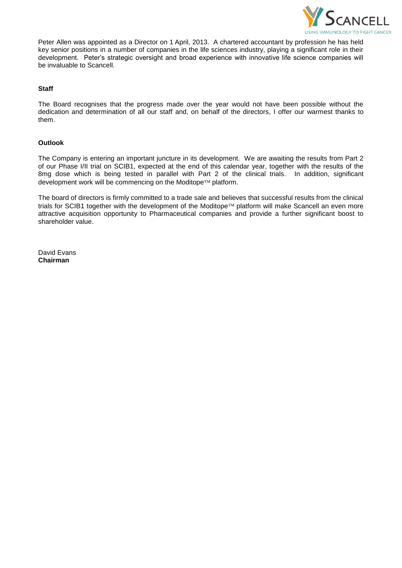

Peter Allen was appointed as a Director on 1 April, 2013. A chartered accountant by profession he has held key senior positions in a number of companies in the life sciences industry, playing a significant role in their development. Peter"s strategic oversight and broad experience with innovative life science companies will be invaluable to Scancell.

## **Staff**

The Board recognises that the progress made over the year would not have been possible without the dedication and determination of all our staff and, on behalf of the directors, I offer our warmest thanks to them.

### **Outlook**

The Company is entering an important juncture in its development. We are awaiting the results from Part 2 of our Phase I/II trial on SCIB1, expected at the end of this calendar year, together with the results of the 8mg dose which is being tested in parallel with Part 2 of the clinical trials. In addition, significant development work will be commencing on the Moditope<sup>TM</sup> platform.

The board of directors is firmly committed to a trade sale and believes that successful results from the clinical trials for SCIB1 together with the development of the Moditope<sup> $TM$ </sup> platform will make Scancell an even more attractive acquisition opportunity to Pharmaceutical companies and provide a further significant boost to shareholder value.

David Evans **Chairman**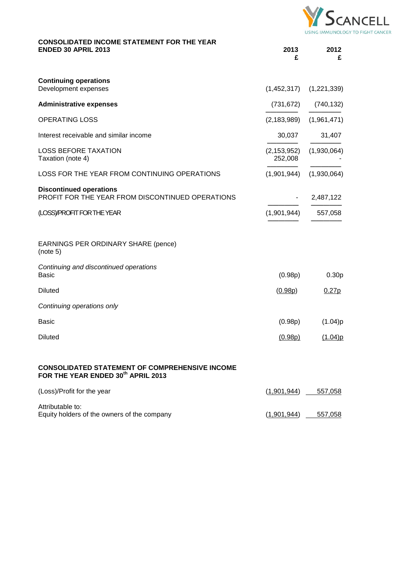

| <b>CONSOLIDATED INCOME STATEMENT FOR THE YEAR</b><br><b>ENDED 30 APRIL 2013</b>             | 2013<br>£                | 2012<br>£         |
|---------------------------------------------------------------------------------------------|--------------------------|-------------------|
| <b>Continuing operations</b><br>Development expenses                                        | (1,452,317)              | (1,221,339)       |
| <b>Administrative expenses</b>                                                              | (731, 672)               | (740, 132)        |
| <b>OPERATING LOSS</b>                                                                       | (2, 183, 989)            | (1,961,471)       |
| Interest receivable and similar income                                                      | 30,037                   | 31,407            |
| <b>LOSS BEFORE TAXATION</b><br>Taxation (note 4)                                            | (2, 153, 952)<br>252,008 | (1,930,064)       |
| LOSS FOR THE YEAR FROM CONTINUING OPERATIONS                                                | (1,901,944)              | (1,930,064)       |
| <b>Discontinued operations</b><br>PROFIT FOR THE YEAR FROM DISCONTINUED OPERATIONS          |                          | 2,487,122         |
| (LOSS)/PROFIT FOR THE YEAR                                                                  | (1,901,944)              | 557,058           |
| EARNINGS PER ORDINARY SHARE (pence)<br>(note 5)                                             |                          |                   |
| Continuing and discontinued operations<br><b>Basic</b>                                      | (0.98p)                  | 0.30 <sub>F</sub> |
| <b>Diluted</b>                                                                              | (0.98p)                  | 0.27p             |
| Continuing operations only                                                                  |                          |                   |
| <b>Basic</b>                                                                                | (0.98p)                  | $(1.04)$ p        |
| <b>Diluted</b>                                                                              | (0.98p)                  | (1.04)p           |
| <b>CONSOLIDATED STATEMENT OF COMPREHENSIVE INCOME</b><br>FOR THE YEAR ENDED 30th APRIL 2013 |                          |                   |

| (Loss)/Profit for the year                  | (1,901,944) | 557.058 |
|---------------------------------------------|-------------|---------|
| Attributable to:                            |             |         |
| Equity holders of the owners of the company | (1,901,944) | 557,058 |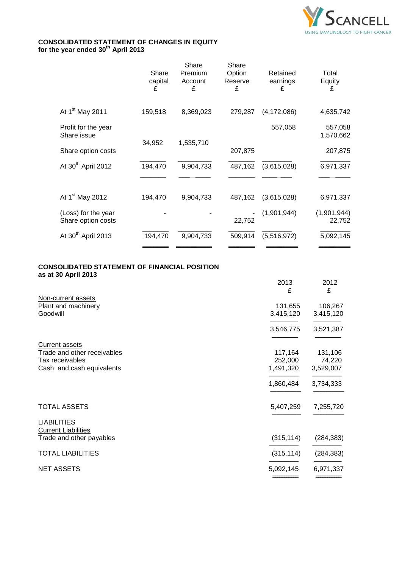

### **CONSOLIDATED STATEMENT OF CHANGES IN EQUITY for the year ended 30th April 2013**

|                                           | Share<br>capital<br>£ | Share<br>Premium<br>Account<br>£ | Share<br>Option<br>Reserve<br>£ | Retained<br>earnings<br>£ | Total<br>Equity<br>£  |
|-------------------------------------------|-----------------------|----------------------------------|---------------------------------|---------------------------|-----------------------|
| At 1 <sup>st</sup> May 2011               | 159,518               | 8,369,023                        | 279,287                         | (4, 172, 086)             | 4,635,742             |
| Profit for the year<br>Share issue        |                       |                                  |                                 | 557,058                   | 557,058<br>1,570,662  |
| Share option costs                        | 34,952                | 1,535,710                        | 207,875                         |                           | 207,875               |
| At 30 <sup>th</sup> April 2012            | 194,470               | 9,904,733                        | 487,162                         | (3,615,028)               | 6,971,337             |
|                                           |                       |                                  |                                 |                           |                       |
| At 1 <sup>st</sup> May 2012               | 194,470               | 9,904,733                        | 487,162                         | (3,615,028)               | 6,971,337             |
| (Loss) for the year<br>Share option costs |                       |                                  | 22,752                          | (1,901,944)               | (1,901,944)<br>22,752 |
| At 30 <sup>th</sup> April 2013            | 194,470               | 9,904,733                        | 509,914                         | (5,516,972)               | 5,092,145             |
|                                           |                       |                                  |                                 |                           |                       |

## **CONSOLIDATED STATEMENT OF FINANCIAL POSITION as at 30 April 2013**

|                                                                                                      | 2013<br>£                                    | 2012<br>£                                   |
|------------------------------------------------------------------------------------------------------|----------------------------------------------|---------------------------------------------|
| Non-current assets<br>Plant and machinery<br>Goodwill                                                | 131,655<br>3,415,120                         | 106,267<br>3,415,120                        |
|                                                                                                      | 3,546,775                                    | 3,521,387                                   |
| <b>Current assets</b><br>Trade and other receivables<br>Tax receivables<br>Cash and cash equivalents | 117,164<br>252,000<br>1,491,320<br>1,860,484 | 131,106<br>74,220<br>3,529,007<br>3,734,333 |
| <b>TOTAL ASSETS</b>                                                                                  | 5,407,259                                    | 7,255,720                                   |
| <b>LIABILITIES</b><br><b>Current Liabilities</b><br>Trade and other payables                         | (315, 114)                                   | (284, 383)                                  |
| <b>TOTAL LIABILITIES</b>                                                                             | (315, 114)                                   | (284, 383)                                  |
| <b>NET ASSETS</b>                                                                                    | 5,092,145                                    | 6,971,337                                   |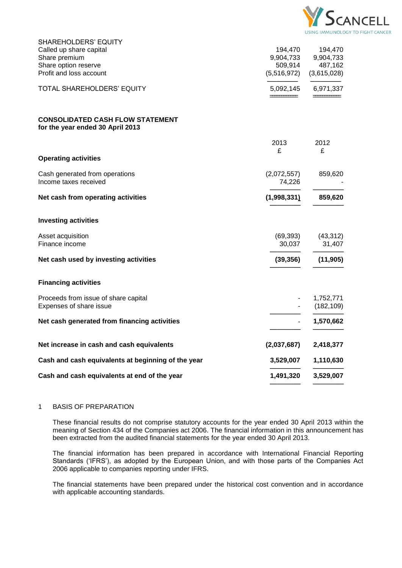

| SHAREHOLDERS' EQUITY<br>Called up share capital<br>Share premium<br>Share option reserve<br>Profit and loss account | 194,470<br>9,904,733<br>509,914<br>(5,516,972) | 194,470<br>9,904,733<br>487,162<br>(3,615,028) |
|---------------------------------------------------------------------------------------------------------------------|------------------------------------------------|------------------------------------------------|
| TOTAL SHAREHOLDERS' EQUITY                                                                                          | 5,092,145                                      | 6,971,337                                      |
| <b>CONSOLIDATED CASH FLOW STATEMENT</b><br>for the year ended 30 April 2013                                         |                                                |                                                |
|                                                                                                                     | 2013<br>£                                      | 2012<br>£                                      |
| <b>Operating activities</b>                                                                                         |                                                |                                                |
| Cash generated from operations<br>Income taxes received                                                             | (2,072,557)<br>74,226                          | 859,620                                        |
| Net cash from operating activities                                                                                  | (1,998,331)                                    | 859,620                                        |
| <b>Investing activities</b>                                                                                         |                                                |                                                |
| Asset acquisition<br>Finance income                                                                                 | (69, 393)<br>30,037                            | (43, 312)<br>31,407                            |
| Net cash used by investing activities                                                                               | (39, 356)                                      | (11, 905)                                      |
| <b>Financing activities</b>                                                                                         |                                                |                                                |
| Proceeds from issue of share capital<br>Expenses of share issue                                                     |                                                | 1,752,771<br>(182, 109)                        |
| Net cash generated from financing activities                                                                        |                                                | 1,570,662                                      |
| Net increase in cash and cash equivalents                                                                           | (2,037,687)                                    | 2,418,377                                      |
| Cash and cash equivalents at beginning of the year                                                                  | 3,529,007                                      | 1,110,630                                      |
| Cash and cash equivalents at end of the year                                                                        | 1,491,320                                      | 3,529,007                                      |
|                                                                                                                     |                                                |                                                |

# 1 BASIS OF PREPARATION

These financial results do not comprise statutory accounts for the year ended 30 April 2013 within the meaning of Section 434 of the Companies act 2006. The financial information in this announcement has been extracted from the audited financial statements for the year ended 30 April 2013.

The financial information has been prepared in accordance with International Financial Reporting Standards ("IFRS"), as adopted by the European Union, and with those parts of the Companies Act 2006 applicable to companies reporting under IFRS.

The financial statements have been prepared under the historical cost convention and in accordance with applicable accounting standards.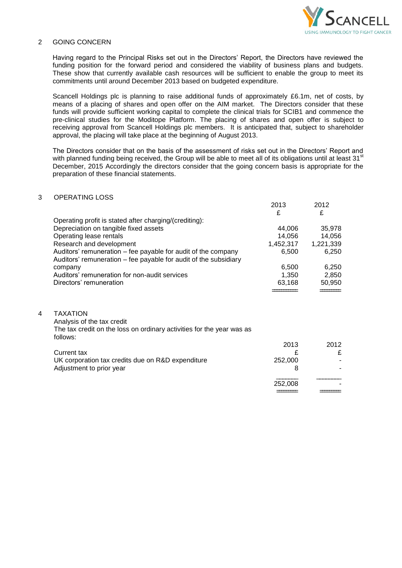

## 2 GOING CONCERN

Having regard to the Principal Risks set out in the Directors" Report, the Directors have reviewed the funding position for the forward period and considered the viability of business plans and budgets. These show that currently available cash resources will be sufficient to enable the group to meet its commitments until around December 2013 based on budgeted expenditure.

Scancell Holdings plc is planning to raise additional funds of approximately £6.1m, net of costs, by means of a placing of shares and open offer on the AIM market. The Directors consider that these funds will provide sufficient working capital to complete the clinical trials for SCIB1 and commence the pre-clinical studies for the Moditope Platform. The placing of shares and open offer is subject to receiving approval from Scancell Holdings plc members. It is anticipated that, subject to shareholder approval, the placing will take place at the beginning of August 2013.

The Directors consider that on the basis of the assessment of risks set out in the Directors' Report and with planned funding being received, the Group will be able to meet all of its obligations until at least 31<sup>st</sup> December, 2015 Accordingly the directors consider that the going concern basis is appropriate for the preparation of these financial statements.

## 3 OPERATING LOSS

|   |                                                                                                                                   | 2013      | 2012      |
|---|-----------------------------------------------------------------------------------------------------------------------------------|-----------|-----------|
|   |                                                                                                                                   | £         | £         |
|   | Operating profit is stated after charging/(crediting):                                                                            |           |           |
|   | Depreciation on tangible fixed assets                                                                                             | 44,006    | 35,978    |
|   | Operating lease rentals                                                                                                           | 14,056    | 14,056    |
|   | Research and development                                                                                                          | 1,452,317 | 1,221,339 |
|   | Auditors' remuneration – fee payable for audit of the company<br>Auditors' remuneration – fee payable for audit of the subsidiary | 6,500     | 6,250     |
|   | company                                                                                                                           | 6,500     | 6,250     |
|   | Auditors' remuneration for non-audit services                                                                                     | 1,350     | 2,850     |
|   | Directors' remuneration                                                                                                           | 63,168    | 50,950    |
|   |                                                                                                                                   |           |           |
| 4 | <b>TAXATION</b>                                                                                                                   |           |           |
|   | Analysis of the tax credit                                                                                                        |           |           |
|   | The tax credit on the loss on ordinary activities for the year was as<br>follows:                                                 |           |           |
|   |                                                                                                                                   | 2013      | 2012      |
|   | Current tax                                                                                                                       | £         | £         |
|   | UK corporation tax credits due on R&D expenditure                                                                                 | 252,000   |           |
|   | Adjustment to prior year                                                                                                          | 8         |           |
|   |                                                                                                                                   | 252,008   |           |
|   |                                                                                                                                   |           |           |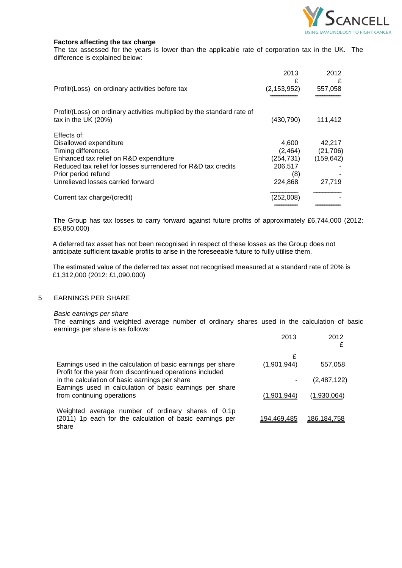

### **Factors affecting the tax charge**

The tax assessed for the years is lower than the applicable rate of corporation tax in the UK. The difference is explained below:

|                                                                         | 2013<br>£     | 2012<br>£  |
|-------------------------------------------------------------------------|---------------|------------|
| Profit/(Loss) on ordinary activities before tax                         | (2, 153, 952) | 557,058    |
|                                                                         |               |            |
| Profit/(Loss) on ordinary activities multiplied by the standard rate of |               |            |
| tax in the UK $(20%)$                                                   | (430, 790)    | 111,412    |
| Effects of:                                                             |               |            |
| Disallowed expenditure                                                  | 4,600         | 42,217     |
| Timing differences                                                      | (2, 464)      | (21, 706)  |
| Enhanced tax relief on R&D expenditure                                  | (254, 731)    | (159, 642) |
| Reduced tax relief for losses surrendered for R&D tax credits           | 206,517       |            |
| Prior period refund                                                     | (8)           |            |
| Unrelieved losses carried forward                                       | 224,868       | 27,719     |
| Current tax charge/(credit)                                             | (252,008)     |            |
|                                                                         |               |            |

The Group has tax losses to carry forward against future profits of approximately £6,744,000 (2012: £5,850,000)

A deferred tax asset has not been recognised in respect of these losses as the Group does not anticipate sufficient taxable profits to arise in the foreseeable future to fully utilise them.

The estimated value of the deferred tax asset not recognised measured at a standard rate of 20% is £1,312,000 (2012: £1,090,000)

### 5 EARNINGS PER SHARE

#### *Basic earnings per share*

The earnings and weighted average number of ordinary shares used in the calculation of basic earnings per share is as follows:

|                                                                                                                            | 2013        | 2012<br>£   |
|----------------------------------------------------------------------------------------------------------------------------|-------------|-------------|
|                                                                                                                            | £           |             |
| Earnings used in the calculation of basic earnings per share<br>Profit for the year from discontinued operations included  | (1,901,944) | 557,058     |
| in the calculation of basic earnings per share                                                                             |             | (2,487,122) |
| Earnings used in calculation of basic earnings per share<br>from continuing operations                                     | (1.901.944) | (1.930.064) |
| average number of ordinary shares of 0.1p<br>Weighted<br>(2011) 1p each for the calculation of basic earnings per<br>share | 194.469.485 | 186.184.758 |